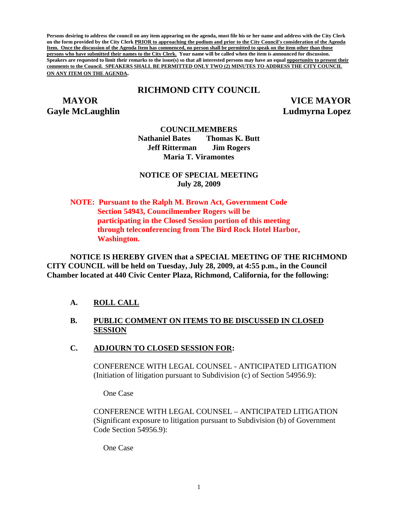**Persons desiring to address the council on any item appearing on the agenda, must file his or her name and address with the City Clerk on the form provided by the City Clerk PRIOR to approaching the podium and prior to the City Council's consideration of the Agenda Item. Once the discussion of the Agenda Item has commenced, no person shall be permitted to speak on the item other than those persons who have submitted their names to the City Clerk. Your name will be called when the item is announced for discussion. Speakers are requested to limit their remarks to the issue(s) so that all interested persons may have an equal opportunity to present their comments to the Council. SPEAKERS SHALL BE PERMITTED ONLY TWO (2) MINUTES TO ADDRESS THE CITY COUNCIL ON ANY ITEM ON THE AGENDA.** 

# **RICHMOND CITY COUNCIL**

**Gayle McLaughlin Ludmyrna Lopez** 

 **MAYOR VICE MAYOR** 

**COUNCILMEMBERS** 

**Nathaniel Bates Thomas K. Butt Jeff Ritterman Jim Rogers Maria T. Viramontes** 

**NOTICE OF SPECIAL MEETING July 28, 2009** 

**NOTE: Pursuant to the Ralph M. Brown Act, Government Code Section 54943, Councilmember Rogers will be participating in the Closed Session portion of this meeting through teleconferencing from The Bird Rock Hotel Harbor, Washington.** 

**NOTICE IS HEREBY GIVEN that a SPECIAL MEETING OF THE RICHMOND CITY COUNCIL will be held on Tuesday, July 28, 2009, at 4:55 p.m., in the Council Chamber located at 440 Civic Center Plaza, Richmond, California, for the following:** 

## **A. ROLL CALL**

### **B. PUBLIC COMMENT ON ITEMS TO BE DISCUSSED IN CLOSED SESSION**

#### **C. ADJOURN TO CLOSED SESSION FOR:**

CONFERENCE WITH LEGAL COUNSEL - ANTICIPATED LITIGATION (Initiation of litigation pursuant to Subdivision (c) of Section 54956.9):

One Case

CONFERENCE WITH LEGAL COUNSEL – ANTICIPATED LITIGATION (Significant exposure to litigation pursuant to Subdivision (b) of Government Code Section 54956.9):

One Case